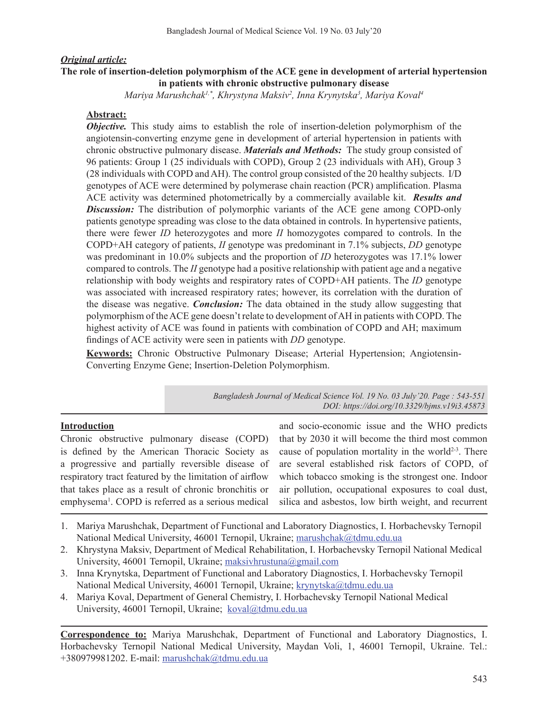## *Original article:*

#### **The role of insertion-deletion polymorphism of the ACE gene in development of arterial hypertension in patients with chronic obstructive pulmonary disease**

*Mariya Marushchak1,\*, Khrystyna Maksiv2 , Inna Krynytska3 , Mariya Koval4*

## **Abstract:**

*Objective.* This study aims to establish the role of insertion-deletion polymorphism of the angiotensin-converting enzyme gene in development of arterial hypertension in patients with chronic obstructive pulmonary disease. *Materials and Methods:* The study group consisted of 96 patients: Group 1 (25 individuals with COPD), Group 2 (23 individuals with AH), Group 3 (28 individuals with COPD andAH). The control group consisted of the 20 healthy subjects. I/D genotypes of ACE were determined by polymerase chain reaction (PCR) amplification. Plasma ACE activity was determined photometrically by a commercially available kit. *Results and*  **Discussion:** The distribution of polymorphic variants of the ACE gene among COPD-only patients genotype spreading was close to the data obtained in controls. In hypertensive patients, there were fewer *ID* heterozygotes and more *ІІ* homozygotes compared to controls. In the COPD+AH category of patients, *II* genotype was predominant in 7.1% subjects, *DD* genotype was predominant in 10.0% subjects and the proportion of *ID* heterozygotes was 17.1% lower compared to controls. The *II* genotype had a positive relationship with patient age and a negative relationship with body weights and respiratory rates of COPD+AH patients. The *ID* genotype was associated with increased respiratory rates; however, its correlation with the duration of the disease was negative. *Conclusion:* The data obtained in the study allow suggesting that polymorphism of the ACE gene doesn't relate to development of AH in patients with COPD. The highest activity of ACE was found in patients with combination of COPD and AH; maximum findings of ACE activity were seen in patients with *DD* genotype.

**Keywords:** Chronic Obstructive Pulmonary Disease; Arterial Hypertension; Angiotensin-Converting Enzyme Gene; Insertion-Deletion Polymorphism.

> *Bangladesh Journal of Medical Science Vol. 19 No. 03 July'20. Page : 543-551 DOI: https://doi.org/10.3329/bjms.v19i3.45873*

## **Introduction**

Chronic obstructive pulmonary disease (COPD) is defined by the American Thoracic Society as a progressive and partially reversible disease of respiratory tract featured by the limitation of airflow that takes place as a result of chronic bronchitis or emphysema<sup>1</sup>. COPD is referred as a serious medical

and socio-economic issue and the WHO predicts that by 2030 it will become the third most common cause of population mortality in the world<sup>2-3</sup>. There are several established risk factors of COPD, of which tobacco smoking is the strongest one. Indoor air pollution, occupational exposures to coal dust, silica and asbestos, low birth weight, and recurrent

- 1. Mariya Marushchak, Department of Functional and Laboratory Diagnostics, I. Horbachevsky Ternopil National Medical University, 46001 Ternopil, Ukraine; marushchak@tdmu.edu.ua
- 2. Khrystyna Maksiv, Department of Medical Rehabilitation, I. Horbachevsky Ternopil National Medical University, 46001 Ternopil, Ukraine; maksivhrustuna@gmail.com
- 3. Inna Krynytska, Department of Functional and Laboratory Diagnostics, I. Horbachevsky Ternopil National Medical University, 46001 Ternopil, Ukraine; krynytska@tdmu.edu.ua
- 4. Mariya Koval, Department of General Chemistry, I. Horbachevsky Ternopil National Medical University, 46001 Ternopil, Ukraine; koval@tdmu.edu.ua

**Correspondence to:** Mariya Marushchak, Department of Functional and Laboratory Diagnostics, I. Horbachevsky Ternopil National Medical University, Maydan Voli, 1, 46001 Ternopil, Ukraine. Tel.: +380979981202. E-mail: marushchak@tdmu.edu.ua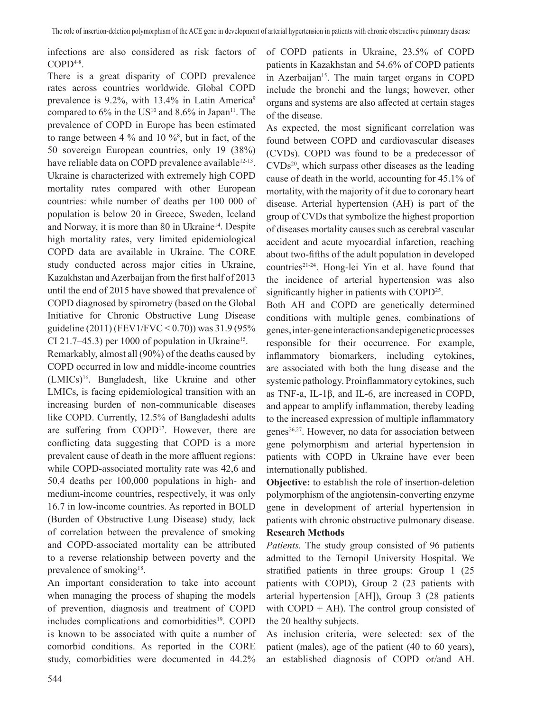infections are also considered as risk factors of  $COPD<sup>4-8</sup>$ .

There is a great disparity of COPD prevalence rates across countries worldwide. Global COPD prevalence is 9.2%, with 13.4% in Latin America<sup>9</sup> compared to  $6\%$  in the US<sup>10</sup> and  $8.6\%$  in Japan<sup>11</sup>. The prevalence of COPD in Europe has been estimated to range between 4 % and 10 %8 , but in fact, of the 50 sovereign European countries, only 19 (38%) have reliable data on COPD prevalence available<sup>12-13</sup>. Ukraine is characterized with extremely high COPD mortality rates compared with other European countries: while number of deaths per 100 000 of population is below 20 in Greece, Sweden, Iceland and Norway, it is more than 80 in Ukraine<sup>14</sup>. Despite high mortality rates, very limited epidemiological COPD data are available in Ukraine. The CORE study conducted across major cities in Ukraine, Kazakhstan and Azerbaijan from the first half of 2013 until the end of 2015 have showed that prevalence of COPD diagnosed by spirometry (based on the Global Initiative for Chronic Obstructive Lung Disease guideline (2011) (FEV1/FVC < 0.70)) was 31.9 (95% CI 21.7–45.3) per 1000 of population in Ukraine<sup>15</sup>.

Remarkably, almost all (90%) of the deaths caused by COPD occurred in low and middle-income countries (LMICs)16. Bangladesh, like Ukraine and other LMICs, is facing epidemiological transition with an increasing burden of non-communicable diseases like COPD. Currently, 12.5% of Bangladeshi adults are suffering from COPD<sup>17</sup>. However, there are conflicting data suggesting that COPD is a more prevalent cause of death in the more affluent regions: while COPD-associated mortality rate was 42,6 and 50,4 deaths per 100,000 populations in high- and medium-income countries, respectively, it was only 16.7 in low-income countries. As reported in BOLD (Burden of Obstructive Lung Disease) study, lack of correlation between the prevalence of smoking and COPD-associated mortality can be attributed to a reverse relationship between poverty and the prevalence of smoking<sup>18</sup>.

An important consideration to take into account when managing the process of shaping the models of prevention, diagnosis and treatment of COPD includes complications and comorbidities<sup>19</sup>. COPD is known to be associated with quite a number of comorbid conditions. As reported in the CORE study, comorbidities were documented in 44.2% of COPD patients in Ukraine, 23.5% of COPD patients in Kazakhstan and 54.6% of COPD patients in Azerbaijan<sup>15</sup>. The main target organs in COPD include the bronchi and the lungs; however, other organs and systems are also affected at certain stages of the disease.

As expected, the most significant correlation was found between COPD and cardiovascular diseases (CVDs). COPD was found to be a predecessor of  $CVDs^{20}$ , which surpass other diseases as the leading cause of death in the world, accounting for 45.1% of mortality, with the majority of it due to coronary heart disease. Arterial hypertension (AH) is part of the group of CVDs that symbolize the highest proportion of diseases mortality causes such as cerebral vascular accident and acute myocardial infarction, reaching about two-fifths of the adult population in developed countries<sup>21-24</sup>. Hong-lei Yin et al. have found that the incidence of arterial hypertension was also significantly higher in patients with COPD<sup>25</sup>.

Both AH and COPD are genetically determined conditions with multiple genes, combinations of genes,inter-geneinteractionsandepigeneticprocesses responsible for their occurrence. For example, inflammatory biomarkers, including cytokines, are associated with both the lung disease and the systemic pathology. Proinflammatory cytokines, such as TNF-a, IL-1β, and IL-6, are increased in COPD, and appear to amplify inflammation, thereby leading to the increased expression of multiple inflammatory genes<sup>26,27</sup>. However, no data for association between gene polymorphism and arterial hypertension in patients with COPD in Ukraine have ever been internationally published.

**Objective:** to establish the role of insertion-deletion polymorphism of the angiotensin-converting enzyme gene in development of arterial hypertension in patients with chronic obstructive pulmonary disease. **Research Methods** 

*Patients.* The study group consisted of 96 patients admitted to the Ternopil University Hospital. We stratified patients in three groups: Group 1 (25 patients with COPD), Group 2 (23 patients with arterial hypertension [AH]), Group 3 (28 patients with COPD  $+$  AH). The control group consisted of the 20 healthy subjects.

As inclusion criteria, were selected: sex of the patient (males), age of the patient (40 to 60 years), an established diagnosis of COPD or/and AH.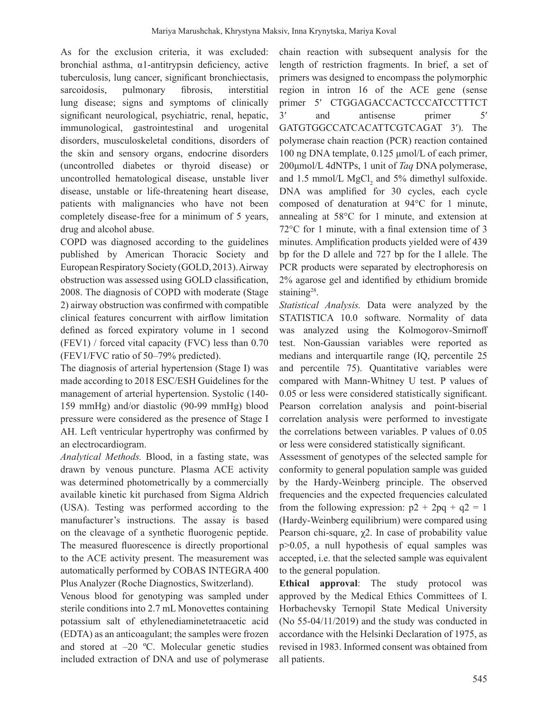As for the exclusion criteria, it was excluded: bronchial asthma, α1-antitrypsin deficiency, active tuberculosis, lung cancer, significant bronchiectasis, sarcoidosis, pulmonary fibrosis, interstitial lung disease; signs and symptoms of clinically significant neurological, psychiatric, renal, hepatic, immunological, gastrointestinal and urogenital disorders, musculoskeletal conditions, disorders of the skin and sensory organs, endocrine disorders (uncontrolled diabetes or thyroid disease) or uncontrolled hematological disease, unstable liver disease, unstable or life-threatening heart disease, patients with malignancies who have not been completely disease-free for a minimum of 5 years, drug and alcohol abuse.

COPD was diagnosed according to the guidelines published by American Thoracic Society and EuropeanRespiratorySociety (GOLD, 2013).Airway obstruction was assessed using GOLD classification, 2008. The diagnosis of COPD with moderate (Stage 2) airway obstruction was confirmed with compatible clinical features concurrent with airflow limitation defined as forced expiratory volume in 1 second (FEV1) / forced vital capacity (FVC) less than 0.70 (FEV1/FVC ratio of 50–79% predicted).

The diagnosis of arterial hypertension (Stage I) was made according to 2018 ESC/ESH Guidelines for the management of arterial hypertension. Systolic (140- 159 mmHg) and/or diastolic (90-99 mmHg) blood pressure were considered as the presence of Stage I AH. Left ventricular hypertrophy was confirmed by an electrocardiogram.

*Analytical Methods.* Blood, in a fasting state, was drawn by venous puncture. Plasma ACE activity was determined photometrically by a commercially available kinetic kit purchased from Sigma Aldrich (USA). Testing was performed according to the manufacturer's instructions. The assay is based on the cleavage of a synthetic fluorogenic peptide. The measured fluorescence is directly proportional to the ACE activity present. The measurement was automatically performed by COBAS INTEGRA 400 Plus Analyzer (Roche Diagnostics, Switzerland).

Venous blood for genotyping was sampled under sterile conditions into 2.7 mL Monovettes containing potassium salt of ethylenediaminetetraacetic acid (EDTA) as an anticoagulant; the samples were frozen and stored at –20 ºС. Molecular genetic studies included extraction of DNA and use of polymerase chain reaction with subsequent analysis for the length of restriction fragments. In brief, a set of primers was designed to encompass the polymorphic region in intron 16 of the ACE gene (sense primer 5' CTGGAGACCACTCCCATCCTTTCT 3′ and antisense primer 5′ GATGTGGCCATCACATTCGTCAGAT 3′). The polymerase chain reaction (PCR) reaction contained 100 ng DNA template, 0.125 μmol/L of each primer, 200μmol/L 4dNTPs, 1 unit of *Taq* DNA polymerase, and  $1.5$  mmol/L MgCl<sub>2</sub> and  $5\%$  dimethyl sulfoxide. DNA was amplified for 30 cycles, each cycle composed of denaturation at 94°C for 1 minute, annealing at 58°C for 1 minute, and extension at 72°C for 1 minute, with a final extension time of 3 minutes. Amplification products yielded were of 439 bp for the D allele and 727 bp for the I allele. The PCR products were separated by electrophoresis on 2% agarose gel and identified by ethidium bromide staining<sup>28</sup>.

*Statistical Analysis.* Data were analyzed by the STATISTICA 10.0 software. Normality of data was analyzed using the Kolmogorov-Smirnoff test. Non-Gaussian variables were reported as medians and interquartile range (IQ, percentile 25 and percentile 75). Quantitative variables were compared with Mann-Whitney U test. P values of 0.05 or less were considered statistically significant. Pearson correlation analysis and point-biserial correlation analysis were performed to investigate the correlations between variables. P values of 0.05 or less were considered statistically significant.

Assessment of genotypes of the selected sample for conformity to general population sample was guided by the Hardy-Weinberg principle. The observed frequencies and the expected frequencies calculated from the following expression:  $p2 + 2pq + q2 = 1$ (Hardy-Weinberg equilibrium) were compared using Pearson chi-square,  $\chi$ 2. In case of probability value р>0.05, a null hypothesis of equal samples was accepted, i.e. that the selected sample was equivalent to the general population.

**Ethical approval**: The study protocol was approved by the Medical Ethics Committees of I. Horbachevsky Ternopil State Medical University (No 55-04/11/2019) and the study was conducted in accordance with the Helsinki Declaration of 1975, as revised in 1983. Informed consent was obtained from all patients.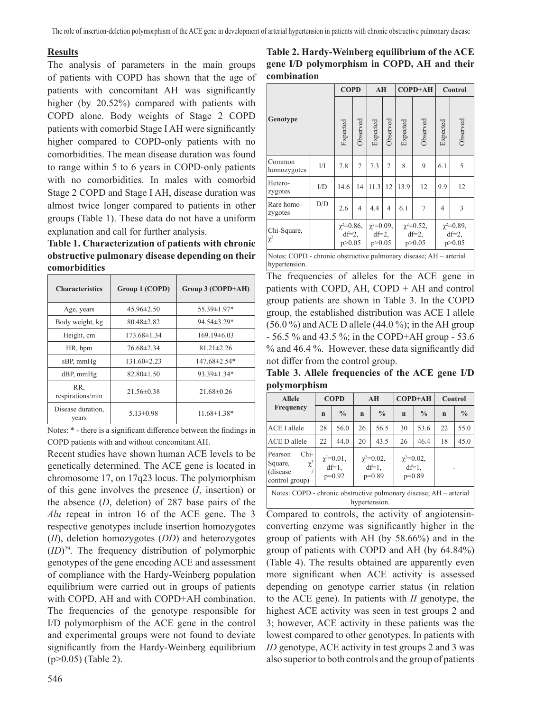#### **Results**

The analysis of parameters in the main groups of patients with COPD has shown that the age of patients with concomitant AH was significantly higher (by 20.52%) compared with patients with COPD alone. Body weights of Stage 2 COPD patients with comorbid Stage I AH were significantly higher compared to COPD-only patients with no comorbidities. The mean disease duration was found to range within 5 to 6 years in COPD-only patients with no comorbidities. In males with comorbid Stage 2 COPD and Stage I AH, disease duration was almost twice longer compared to patients in other groups (Table 1). These data do not have a uniform explanation and call for further analysis.

**Table 1. Characterization of patients with chronic obstructive pulmonary disease depending on their comorbidities**

| <b>Characteristics</b>     | Group 1 (COPD)    | Group 3 (COPD+AH) |  |  |  |
|----------------------------|-------------------|-------------------|--|--|--|
| Age, years                 | $45.96 \pm 2.50$  | 55.39±1.97*       |  |  |  |
| Body weight, kg            | $80.48 \pm 2.82$  | 94.54±3.29*       |  |  |  |
| Height, cm                 | $173.68 \pm 1.34$ | $169.19\pm 6.03$  |  |  |  |
| HR, bpm                    | $76.68 \pm 2.34$  | $81.21 \pm 2.26$  |  |  |  |
| $sBP$ , mm $Hg$            | $131.60 \pm 2.23$ | 147.68±2.54*      |  |  |  |
| $dBP$ , mm $Hg$            | $82.80 \pm 1.50$  | $93.39 \pm 1.34*$ |  |  |  |
| RR.<br>respirations/min    | $21.56 \pm 0.38$  | $21.68 \pm 0.26$  |  |  |  |
| Disease duration,<br>years | $5.13 \pm 0.98$   | $11.68 \pm 1.38*$ |  |  |  |

Notes: \* - there is a significant difference between the findings in COPD patients with and without concomitant AH.

Recent studies have shown human ACE levels to be genetically determined. The ACE gene is located in chromosome 17, on 17q23 locus. The polymorphism of this gene involves the presence (*I*, insertion) or the absence (*D*, deletion) of 287 base pairs of the *Alu* repeat in intron 16 of the ACE gene. The 3 respective genotypes include insertion homozygotes (*II*), deletion homozygotes (*DD*) and heterozygotes (*ID*)<sup>29</sup>. The frequency distribution of polymorphic genotypes of the gene encoding ACE and assessment of compliance with the Hardy-Weinberg population equilibrium were carried out in groups of patients with COPD, AH and with COPD+AH combination. The frequencies of the genotype responsible for I/D polymorphism of the ACE gene in the control and experimental groups were not found to deviate significantly from the Hardy-Weinberg equilibrium (p>0.05) (Table 2).

**Table 2. Hardy-Weinberg equilibrium of the ACE gene I/D polymorphism in COPD, AH and their combination**

| Genotype                                                                            |                        | <b>COPD</b>                               |                | AH                                        |                | <b>COPD+AH</b>                            |          | Control                                   |          |
|-------------------------------------------------------------------------------------|------------------------|-------------------------------------------|----------------|-------------------------------------------|----------------|-------------------------------------------|----------|-------------------------------------------|----------|
|                                                                                     |                        | Expected                                  | Observed       | Expected                                  | Observed       | Expected                                  | Observed | Expected                                  | Observed |
| Common<br>homozygotes                                                               | $\overline{\text{II}}$ | 7.8                                       | 7              | 7.3                                       | 7              | 8                                         | 9        | 6.1                                       | 5        |
| Hetero-<br>zygotes                                                                  | I/D                    | 14.6                                      | 14             | 11.3                                      | 12             | 13.9                                      | 12       | 9.9                                       | 12       |
| Rare homo-<br>zygotes                                                               | D/D                    | 2.6                                       | $\overline{4}$ | 4.4                                       | $\overline{4}$ | 6.1                                       | 7        | 4                                         | 3        |
| Chi-Square,<br>$\chi^2$                                                             |                        | $\chi^2 = 0.86$ ,<br>$df=2$ ,<br>p > 0.05 |                | $\chi^2 = 0.09$ ,<br>$df=2$ ,<br>p > 0.05 |                | $\chi^2 = 0.52$ ,<br>$df=2$ ,<br>p > 0.05 |          | $\chi^2 = 0.89$ ,<br>$df=2$ ,<br>p > 0.05 |          |
| Notes: COPD - chronic obstructive pulmonary disease; AH - arterial<br>hypertension. |                        |                                           |                |                                           |                |                                           |          |                                           |          |

The frequencies of alleles for the ACE gene in patients with COPD, AH, COPD  $+$  AH and control group patients are shown in Table 3. In the COPD group, the established distribution was ACE I allele  $(56.0\%)$  and ACE D allele  $(44.0\%)$ ; in the AH group - 56.5 % and 43.5 %; in the COPD+AH group - 53.6 % and 46.4 %. However, these data significantly did not differ from the control group.

**Table 3. Allele frequencies of the ACE gene I/D polymorphism**

| <b>Allele</b>                                                         | <b>COPD</b> |                                           | AH                                        |               | <b>COPD+AH</b>                            |               | Control     |               |
|-----------------------------------------------------------------------|-------------|-------------------------------------------|-------------------------------------------|---------------|-------------------------------------------|---------------|-------------|---------------|
| Frequency                                                             | $\mathbf n$ | $\frac{0}{0}$                             | $\mathbf n$                               | $\frac{0}{0}$ | $\mathbf n$                               | $\frac{0}{0}$ | $\mathbf n$ | $\frac{0}{0}$ |
| ACE I allele                                                          | 28          | 56.0                                      | 26                                        | 56.5          | 30                                        | 53.6          | 22          | 55.0          |
| ACE D allele                                                          | 22          | 44.0                                      | 20                                        | 43.5          | 26                                        | 46.4          | 18          | 45.0          |
| Chi-<br>Pearson<br>$\chi^2$<br>Square,<br>(disease)<br>control group) |             | $\chi^2 = 0.01$ ,<br>$df=1$ ,<br>$p=0.92$ | $\chi^2 = 0.02$ ,<br>$df=1$ ,<br>$p=0.89$ |               | $\chi^2 = 0.02$ ,<br>$df=1$ ,<br>$p=0.89$ |               |             |               |
| Notes: COPD - chronic obstructive pulmonary disease; AH – arterial    |             |                                           |                                           |               |                                           |               |             |               |

hypertension.

Compared to controls, the activity of angiotensinconverting enzyme was significantly higher in the group of patients with AH (by 58.66%) and in the group of patients with COPD and AH (by 64.84%) (Table 4). The results obtained are apparently even more significant when ACE activity is assessed depending on genotype carrier status (in relation to the ACE gene). In patients with *II* genotype, the highest ACE activity was seen in test groups 2 and 3; however, ACE activity in these patients was the lowest compared to other genotypes. In patients with *ID* genotype, ACE activity in test groups 2 and 3 was also superior to both controls and the group of patients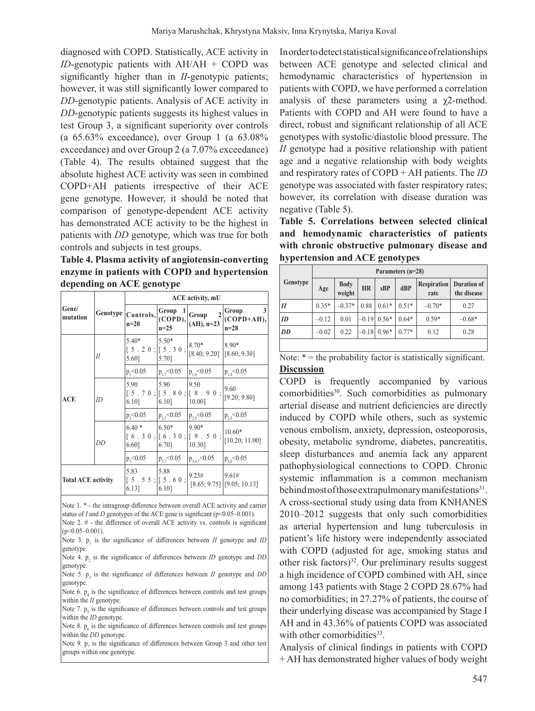diagnosed with COPD. Statistically, ACE activity in *ID*-genotypic patients with AH/AH + COPD was significantly higher than in *II*-genotypic patients; however, it was still significantly lower compared to *DD*-genotypic patients. Analysis of ACE activity in *DD*-genotypic patients suggests its highest values in test Group 3, a significant superiority over controls (a 65.63% exceedance), over Group 1 (a 63.08% exceedance) and over Group 2 (a 7.07% exceedance) (Table 4). The results obtained suggest that the absolute highest ACE activity was seen in combined COPD+AH patients irrespective of their ACE gene genotype. However, it should be noted that comparison of genotype-dependent ACE activity has demonstrated ACE activity to be the highest in patients with *DD* genotype, which was true for both controls and subjects in test groups.

**Table 4. Plasma activity of angiotensin-converting enzyme in patients with COPD and hypertension depending on ACE genotype**

|                           |          | ACE activity, mU                                                                                                                                                |                                            |                                              |                                       |  |  |
|---------------------------|----------|-----------------------------------------------------------------------------------------------------------------------------------------------------------------|--------------------------------------------|----------------------------------------------|---------------------------------------|--|--|
| Gene/<br>mutation         |          | Genotype   Controls,<br>$n=20$                                                                                                                                  | Group<br>$\mathbf{1}$<br>(COPD),<br>$n=25$ | $\overline{2}$<br>Group<br>$(AH), n=23$      | 3<br>Group<br>$(COPD+AH),$<br>$n=28$  |  |  |
| <b>ACE</b>                | $_{II}$  | $5.40*$<br>$\begin{bmatrix} 5 & 2 & 0 \end{bmatrix}$ ; $\begin{bmatrix} 5 & 3 & 0 \end{bmatrix}$ ; $\begin{bmatrix} 8.70^* \\ 10 & 40 \end{bmatrix}$<br>5.60]   | $5.50*$<br>$\vert 5.70 \vert$              | $[8.40; 9.20]$ $[8.60; 9.30]$                | 8.90*                                 |  |  |
|                           |          | $p_{1}$ < 0.05                                                                                                                                                  | $p_{1.7}$ < 0.05                           | $p_{1,4}$ < 0.05                             | $p_{1,4}$ < 0.05                      |  |  |
|                           | ID<br>DD | 5.90<br>6.10]                                                                                                                                                   | 5.90<br>$6.10$ ]                           | 9.50<br>$[5.70;$ $[5.80;$ $[8.90;$<br> 10.00 | 9.60<br>[9.20; 9.80]                  |  |  |
|                           |          | $p_{\gamma}$ < 0.05                                                                                                                                             | $p_{2.7}$ < 0.05                           | $p_{2,5}$ <0.05                              | $p_{2,5}$ <0.05                       |  |  |
|                           |          | $6.40*$<br>6.60]                                                                                                                                                | $6.50*$<br>$6.70$ ]                        | $9.90*$<br>[6.30; [6.30; [9.50;<br> 10.30    | $10.60*$<br>[10.20; 11.00]            |  |  |
|                           |          | $p_{3}$ <0.05                                                                                                                                                   | $p_{3,7}$ < 0.05                           | $p_{3,6,7}$ <0.05                            | $p_{3.6}$ < 0.05                      |  |  |
| <b>Total ACE activity</b> |          | 5.83<br>$\left[\begin{array}{cc} 5.55 \\ 5.60 \end{array}; \begin{array}{ c } 5.60 \\ \end{array}; \begin{array}{ c } 9.25\# \\ \end{array}\right]$<br>$6.13$ ] | 5.88<br>$6.10$ ]                           |                                              | 9.61#<br>$[8.65; 9.75]$ [9.05; 10.13] |  |  |

Note 1. \* - the intragroup difference between overall ACE activity and carrier status of *I* and *D* genotypes of the ACE gene is significant (p<0.05–0.001). Note 2. # - the difference of overall ACE activity vs. controls is significant

 $(p<0.05-0.001)$ .

Note 3.  $p_1$  is the significance of differences between *II* genotype and *ID* genotype.

Note 4. p<sub>2</sub> is the significance of differences between *ID* genotype and *DD* genotype.

Note 5.  $p_3$  is the significance of differences between *II* genotype and *DD* genotype.

Note 6.  $p_4$  is the significance of differences between controls and test groups within the *II* genotype.

Note 7.  $p<sub>s</sub>$  is the significance of differences between controls and test groups within the *ID* genotype.

Note 8.  $p<sub>c</sub>$  is the significance of differences between controls and test groups within the *DD* genotype.

Note 9.  $p_7$  is the significance of differences between Group 3 and other test groups within one genotype.

Inordertodetectstatisticalsignificanceofrelationships between ACE genotype and selected clinical and hemodynamic characteristics of hypertension in patients with COPD, we have performed a correlation analysis of these parameters using a χ2-method. Patients with COPD and AH were found to have a direct, robust and significant relationship of all ACE genotypes with systolic/diastolic blood pressure. The *II* genotype had a positive relationship with patient age and a negative relationship with body weights and respiratory rates of COPD + AH patients. The *ID* genotype was associated with faster respiratory rates; however, its correlation with disease duration was negative (Table 5).

**Table 5. Correlations between selected clinical and hemodynamic characteristics of patients with chronic obstructive pulmonary disease and hypertension and ACE genotypes**

|          | Parameters (n=28) |                       |           |         |         |                            |                                   |  |  |
|----------|-------------------|-----------------------|-----------|---------|---------|----------------------------|-----------------------------------|--|--|
| Genotype | Age               | <b>Body</b><br>weight | <b>HR</b> | sBP     | dBP     | <b>Respiration</b><br>rate | <b>Duration of</b><br>the disease |  |  |
| I        | $0.35*$           | $-0.37*$              | 0.88      | $0.61*$ | $0.51*$ | $-0.70*$                   | 0.27                              |  |  |
| ID       | $-0.12$           | 0.01                  | $-0.19$   | $0.56*$ | $0.64*$ | $0.59*$                    | $-0.68*$                          |  |  |
| DD       | $-0.02$           | 0.22                  | $-0.18$   | $0.96*$ | $0.77*$ | 0.12                       | 0.28                              |  |  |
|          |                   |                       |           |         |         |                            |                                   |  |  |

Note:  $* =$  the probability factor is statistically significant.

# **Discussion**

COPD is frequently accompanied by various comorbidities<sup>30</sup>. Such comorbidities as pulmonary arterial disease and nutrient deficiencies are directly induced by COPD while others, such as systemic venous embolism, anxiety, depression, osteoporosis, obesity, metabolic syndrome, diabetes, pancreatitis, sleep disturbances and anemia lack any apparent pathophysiological connections to COPD. Chronic systemic inflammation is a common mechanism behind most of those extrapulmonary manifestations<sup>31</sup>. A cross-sectional study using data from KNHANES 2010–2012 suggests that only such comorbidities as arterial hypertension and lung tuberculosis in patient's life history were independently associated with COPD (adjusted for age, smoking status and other risk factors) $32$ . Our preliminary results suggest a high incidence of COPD combined with AH, since among 143 patients with Stage 2 COPD 28.67% had no comorbidities; in 27.27% of patients, the course of their underlying disease was accompanied by Stage I AH and in 43.36% of patients COPD was associated with other comorbidities<sup>33</sup>.

Analysis of clinical findings in patients with COPD + AH has demonstrated higher values of body weight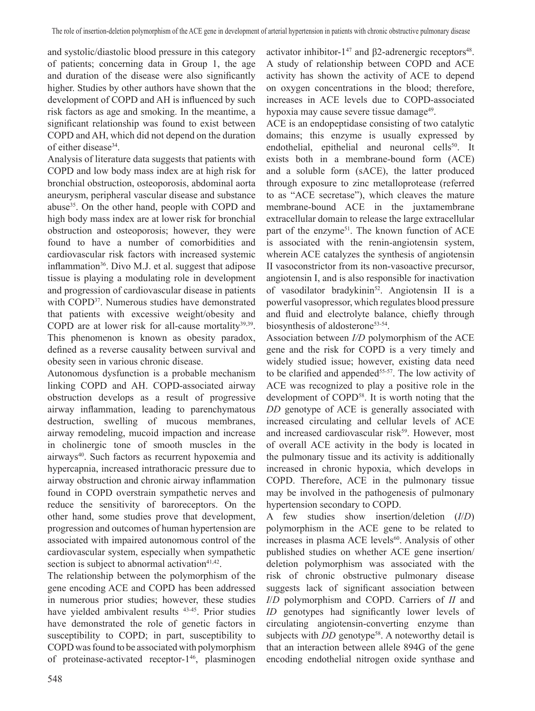and systolic/diastolic blood pressure in this category of patients; concerning data in Group 1, the age and duration of the disease were also significantly higher. Studies by other authors have shown that the development of COPD and AH is influenced by such risk factors as age and smoking. In the meantime, a significant relationship was found to exist between COPD and AH, which did not depend on the duration of either disease<sup>34</sup>.

Analysis of literature data suggests that patients with COPD and low body mass index are at high risk for bronchial obstruction, osteoporosis, abdominal aorta aneurysm, peripheral vascular disease and substance abuse35. On the other hand, people with COPD and high body mass index are at lower risk for bronchial obstruction and osteoporosis; however, they were found to have a number of comorbidities and cardiovascular risk factors with increased systemic inflammation $36$ . Divo M.J. et al. suggest that adipose tissue is playing a modulating role in development and progression of cardiovascular disease in patients with COPD<sup>37</sup>. Numerous studies have demonstrated that patients with excessive weight/obesity and COPD are at lower risk for all-cause mortality $39,39$ . This phenomenon is known as obesity paradox, defined as a reverse causality between survival and obesity seen in various chronic disease.

Autonomous dysfunction is a probable mechanism linking COPD and AH. COPD-associated airway obstruction develops as a result of progressive airway inflammation, leading to parenchymatous destruction, swelling of mucous membranes, airway remodeling, mucoid impaction and increase in cholinergic tone of smooth muscles in the airways<sup>40</sup>. Such factors as recurrent hypoxemia and hypercapnia, increased intrathoracic pressure due to airway obstruction and chronic airway inflammation found in COPD overstrain sympathetic nerves and reduce the sensitivity of baroreceptors. On the other hand, some studies prove that development, progression and outcomes of human hypertension are associated with impaired autonomous control of the cardiovascular system, especially when sympathetic section is subject to abnormal activation $41,42$ .

The relationship between the polymorphism of the gene encoding ACE and COPD has been addressed in numerous prior studies; however, these studies have yielded ambivalent results 43-45. Prior studies have demonstrated the role of genetic factors in susceptibility to COPD; in part, susceptibility to COPD wasfound to be associated with polymorphism of proteinase-activated receptor-1<sup>46</sup>, plasminogen

activator inhibitor- $1^{47}$  and β2-adrenergic receptors<sup>48</sup>. A study of relationship between COPD and ACE activity has shown the activity of ACE to depend on oxygen concentrations in the blood; therefore, increases in ACE levels due to COPD-associated hypoxia may cause severe tissue damage<sup>49</sup>.

ACE is an endopeptidase consisting of two catalytic domains; this enzyme is usually expressed by endothelial, epithelial and neuronal cells<sup>50</sup>. It exists both in a membrane-bound form (ACE) and a soluble form (sACE), the latter produced through exposure to zinc metalloprotease (referred to as "ACE secretase"), which cleaves the mature membrane-bound ACE in the juxtamembrane extracellular domain to release the large extracellular part of the enzyme<sup>51</sup>. The known function of ACE is associated with the renin-angiotensin system, wherein ACE catalyzes the synthesis of angiotensin II vasoconstrictor from its non-vasoactive precursor, angiotensin I, and is also responsible for inactivation of vasodilator bradykinin<sup>52</sup>. Angiotensin II is a powerful vasopressor, which regulates blood pressure and fluid and electrolyte balance, chiefly through biosynthesis of aldosterone<sup>53-54</sup>.

Association between *I/D* polymorphism of the ACE gene and the risk for COPD is a very timely and widely studied issue; however, existing data need to be clarified and appended<sup>55-57</sup>. The low activity of ACE was recognized to play a positive role in the development of COPD<sup>58</sup>. It is worth noting that the *DD* genotype of ACE is generally associated with increased circulating and cellular levels of ACE and increased cardiovascular risk<sup>59</sup>. However, most of overall ACE activity in the body is located in the pulmonary tissue and its activity is additionally increased in chronic hypoxia, which develops in COPD. Therefore, ACE in the pulmonary tissue may be involved in the pathogenesis of pulmonary hypertension secondary to COPD.

A few studies show insertion/deletion (*I*/*D*) polymorphism in the ACE gene to be related to increases in plasma ACE levels<sup>60</sup>. Analysis of other published studies on whether ACE gene insertion/ deletion polymorphism was associated with the risk of chronic obstructive pulmonary disease suggests lack of significant association between *I*/*D* polymorphism and COPD. Carriers of *II* and *ID* genotypes had significantly lower levels of circulating angiotensin-converting enzyme than subjects with *DD* genotype<sup>58</sup>. A noteworthy detail is that an interaction between allele 894G of the gene encoding endothelial nitrogen oxide synthase and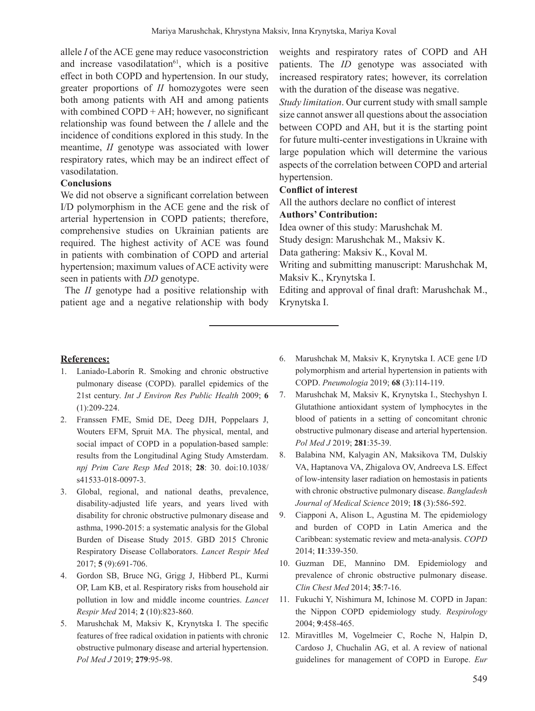allele *I* of the ACE gene may reduce vasoconstriction and increase vasodilatation<sup>61</sup>, which is a positive effect in both COPD and hypertension. In our study, greater proportions of *II* homozygotes were seen both among patients with AH and among patients with combined  $\text{COPD} + \text{AH}$ ; however, no significant relationship was found between the *I* allele and the incidence of conditions explored in this study. In the meantime, *II* genotype was associated with lower respiratory rates, which may be an indirect effect of vasodilatation.

## **Conclusions**

We did not observe a significant correlation between I/D polymorphism in the ACE gene and the risk of arterial hypertension in COPD patients; therefore, comprehensive studies on Ukrainian patients are required. The highest activity of ACE was found in patients with combination of COPD and arterial hypertension; maximum values of ACE activity were seen in patients with *DD* genotype.

The *II* genotype had a positive relationship with patient age and a negative relationship with body

weights and respiratory rates of COPD and AH patients. The *ID* genotype was associated with increased respiratory rates; however, its correlation with the duration of the disease was negative.

*Study limitation*. Our current study with small sample size cannot answer all questions about the association between COPD and AH, but it is the starting point for future multi-center investigations in Ukraine with large population which will determine the various aspects of the correlation between COPD and arterial hypertension.

#### **Conflict of interest**

Krynytska I.

All the authors declare no conflict of interest **Authors' Contribution:** Idea owner of this study: Marushchak M. Study design: Marushchak M., Maksiv K. Data gathering: Maksiv K., Koval M. Writing and submitting manuscript: Marushchak M, Maksiv K., Krynytska I. Editing and approval of final draft: Marushchak M.,

#### **References:**

- 1. Laniado-Laborín R. Smoking and chronic obstructive pulmonary disease (COPD). parallel epidemics of the 21st century. *Int J Environ Res Public Health* 2009; **6** (1):209-224.
- 2. Franssen FME, Smid DE, Deeg DJH, Poppelaars J, Wouters EFM, Spruit MA. The physical, mental, and social impact of COPD in a population-based sample: results from the Longitudinal Aging Study Amsterdam. *npj Prim Care Resp Med* 2018; **28**: 30. doi:10.1038/ s41533-018-0097-3.
- 3. Global, regional, and national deaths, prevalence, disability-adjusted life years, and years lived with disability for chronic obstructive pulmonary disease and asthma, 1990-2015: a systematic analysis for the Global Burden of Disease Study 2015. GBD 2015 Chronic Respiratory Disease Collaborators. *Lancet Respir Med* 2017; **5** (9):691-706.
- 4. Gordon SB, Bruce NG, Grigg J, Hibberd PL, Kurmi OP, Lam KB, et al. Respiratory risks from household air pollution in low and middle income countries. *Lancet Respir Med* 2014; **2** (10):823-860.
- 5. Marushchak M, Maksiv K, Krynytska I. The specific features of free radical oxidation in patients with chronic obstructive pulmonary disease and arterial hypertension. *Pol Med J* 2019; **279**:95-98.
- 6. Marushchak M, Maksiv K, Krynytska I. ACE gene I/D polymorphism and arterial hypertension in patients with COPD. *Pneumologia* 2019; **68** (3):114-119.
- 7. Marushchak M, Maksiv K, Krynytska I., Stechyshyn I. Glutathione antioxidant system of lymphocytes in the blood of patients in a setting of concomitant chronic obstructive pulmonary disease and arterial hypertension. *Pol Med J* 2019; **281**:35-39.
- 8. Balabina NM, Kalyagin AN, Maksikova TM, Dulskiy VA, Haptanova VA, Zhigalova OV, Andreeva LS. Effect of low-intensity laser radiation on hemostasis in patients with chronic obstructive pulmonary disease. *Bangladesh Journal of Medical Science* 2019; **18** (3):586-592.
- 9. Ciapponi A, Alison L, Agustina M. The epidemiology and burden of COPD in Latin America and the Caribbean: systematic review and meta-analysis. *COPD* 2014; **11**:339-350.
- 10. Guzman DE, Mannino DM. Epidemiology and prevalence of chronic obstructive pulmonary disease. *Clin Chest Med* 2014; **35**:7-16.
- 11. Fukuchi Y, Nishimura M, Ichinose M. COPD in Japan: the Nippon COPD epidemiology study. *Respirology* 2004; **9**:458-465.
- 12. Miravitlles M, Vogelmeier C, Roche N, Halpin D, Cardoso J, Chuchalin AG, et al. A review of national guidelines for management of COPD in Europe. *Eur*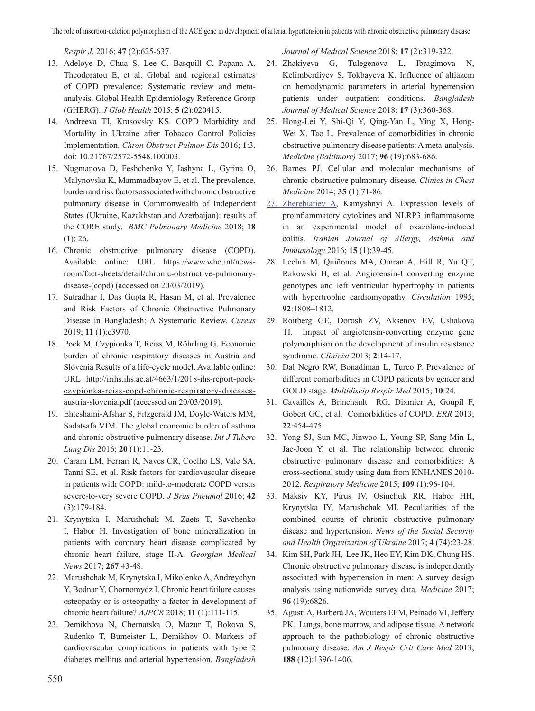The role of insertion-deletion polymorphism of the ACE gene in development of arterial hypertension in patients with chronic obstructive pulmonary disease

*Respir J.* 2016; **47** (2):625-637.

- 13. Adeloye D, Chua S, Lee C, Basquill C, Papana A, Theodoratou E, et al. Global and regional estimates of COPD prevalence: Systematic review and metaanalysis. Global Health Epidemiology Reference Group (GHERG). *J Glob Health* 2015; **5** (2):020415.
- 14. Andreeva TI, Krasovsky KS. COPD Morbidity and Mortality in Ukraine after Tobacco Control Policies Implementation. *Chron Obstruct Pulmon Dis* 2016; **1**:3. doi: 10.21767/2572-5548.100003.
- 15. Nugmanova D, Feshchenko Y, Iashyna L, Gyrina O, Malynovska K, Mammadbayov E, et al. The prevalence, burden and risk factors associated with chronic obstructive pulmonary disease in Commonwealth of Independent States (Ukraine, Kazakhstan and Azerbaijan): results of the CORE study. *BMC Pulmonary Medicine* 2018; **18**  $(1)$ : 26.
- 16. Chronic obstructive pulmonary disease (COPD). Available online: URL https://www.who.int/newsroom/fact-sheets/detail/chronic-obstructive-pulmonarydisease-(copd) (accessed on 20/03/2019).
- 17. Sutradhar I, Das Gupta R, Hasan M, et al. Prevalence and Risk Factors of Chronic Obstructive Pulmonary Disease in Bangladesh: A Systematic Review. *Cureus*  2019; **11** (1):e3970.
- 18. Pock M, Czypionka T, Reiss M, Röhrling G. Economic burden of chronic respiratory diseases in Austria and Slovenia Results of a life-cycle model. Available online: URL http://irihs.ihs.ac.at/4663/1/2018-ihs-report-pockczypionka-reiss-copd-chronic-respiratory-diseasesaustria-slovenia.pdf (accessed on 20/03/2019).
- 19. Ehteshami-Afshar S, Fitzgerald JM, Doyle-Waters MM, Sadatsafa VIM. The global economic burden of asthma and chronic obstructive pulmonary disease. *Int J Tuberc Lung Dis* 2016; **20** (1):11-23.
- 20. Caram LM, Ferrari R, Naves CR, Coelho LS, Vale SA, Tanni SE, et al. Risk factors for cardiovascular disease in patients with COPD: mild-to-moderate COPD versus severe-to-very severe COPD. *J Bras Pneumol* 2016; **42** (3):179-184.
- 21. Krynytska I, Marushchak M, Zaets T, Savchenko I, Habor H. Investigation of bone mineralization in patients with coronary heart disease complicated by chronic heart failure, stage II-A. *Georgian Medical News* 2017; **267**:43-48.
- 22. Marushchak M, Krynytska I, Mikolenko A, Andreychyn Y, Bodnar Y, Chornomydz I. Chronic heart failure causes osteopathy or is osteopathy a factor in development of chronic heart failure? *AJPCR* 2018; **11** (1):111-115.
- 23. Demikhova N, Chernatska O, Mazur T, Bokova S, Rudenko T, Bumeister L, Demikhov O. Markers of cardiovascular complications in patients with type 2 diabetes mellitus and arterial hypertension. *Bangladesh*

*Journal of Medical Science* 2018; **17** (2):319-322.

- 24. Zhakiyeva G, Tulegenova L, Ibragimova N, Kelimberdiyev S, Tokbayeva K. Influence of altiazem on hemodynamic parameters in arterial hypertension patients under outpatient conditions. *Bangladesh Journal of Medical Science* 2018; **17** (3):360-368.
- 25. Hong-Lei Y, Shi-Qi Y, Qing-Yan L, Ying X, Hong-Wei X, Tao L. Prevalence of comorbidities in chronic obstructive pulmonary disease patients: A meta-analysis. *Medicine (Baltimore)* 2017; **96** (19):683-686.
- 26. Barnes PJ. Cellular and molecular mechanisms of chronic obstructive pulmonary disease. *Clinics in Chest Medicine* 2014; **35** (1):71-86.
- 27. Zherebiatiev A, Kamyshnyi A. Expression levels of proinflammatory cytokines and NLRP3 inflammasome in an experimental model of oxazolone-induced colitis. *Iranian Journal of Allergy, Asthma and Immunology* 2016; **15** (1):39-45.
- 28. Lechin M, Quiñones MA, Omran A, Hill R, Yu QT, Rakowski H, et al. Angiotensin-I converting enzyme genotypes and left ventricular hypertrophy in patients with hypertrophic cardiomyopathy. *Circulation* 1995; **92**:1808–1812.
- 29. Roitberg GE, Dorosh ZV, Aksenov EV, Ushakova TI. Impact of angiotensin-converting enzyme gene polymorphism on the development of insulin resistance syndrome. *Clinicist* 2013; **2**:14-17.
- 30. Dal Negro RW, Bonadiman L, Turco P. Prevalence of different comorbidities in COPD patients by gender and GOLD stage. *Multidiscip Respir Med* 2015; **10**:24.
- 31. Cavaillès A, Brinchault RG, Dixmier A, Goupil F, Gobert GС, et al. Comorbidities of COPD. *ERR* 2013; **22**:454-475.
- 32. Yong SJ, Sun MC, Jinwoo L, Young SP, Sang-Min L, Jae-Joon Y, et al. The relationship between chronic obstructive pulmonary disease and comorbidities: A cross-sectional study using data from KNHANES 2010- 2012. *Respiratory Medicine* 2015; **109** (1):96-104.
- 33. Maksiv KY, Pirus IV, Osinchuk RR, Habor HH, Krynytska IY, Marushchak MI. Peculiarities of the combined course of chronic obstructive pulmonary disease and hypertension. *News of the Social Security and Health Organization of Ukraine* 2017; **4** (74):23-28.
- 34. Kim SH, Park JH, Lee JK, Heo EY, Kim DK, Chung HS. Chronic obstructive pulmonary disease is independently associated with hypertension in men: A survey design analysis using nationwide survey data. *Medicine* 2017; **96** (19):6826.
- 35. AgustíA, Barberà JA, Wouters EFM, Peinado VI, Jeffery РК. Lungs, bone marrow, and adipose tissue. A network approach to the pathobiology of chronic obstructive pulmonary disease. *Am J Respir Crit Care Med* 2013; **188** (12):1396-1406.